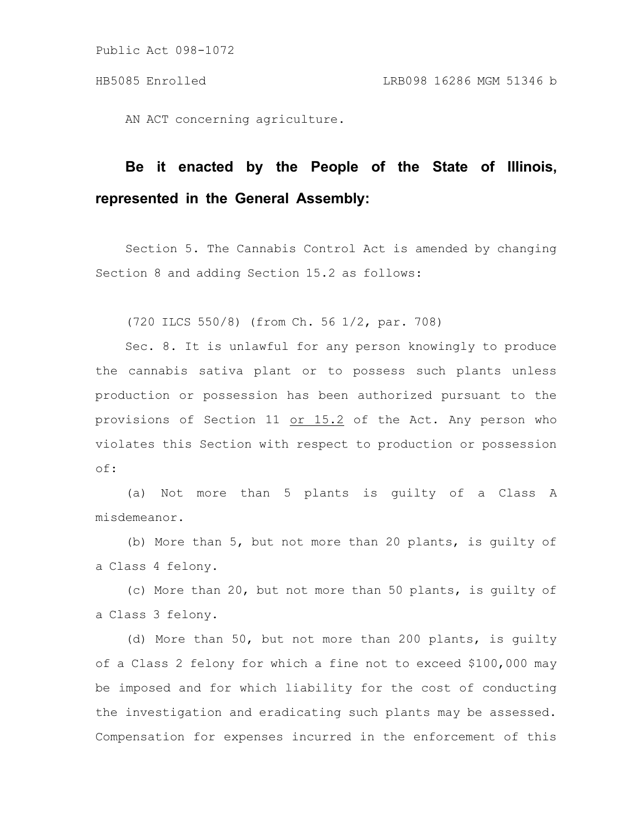AN ACT concerning agriculture.

## **Be it enacted by the People of the State of Illinois, represented in the General Assembly:**

Section 5. The Cannabis Control Act is amended by changing Section 8 and adding Section 15.2 as follows:

(720 ILCS 550/8) (from Ch. 56 1/2, par. 708)

Sec. 8. It is unlawful for any person knowingly to produce the cannabis sativa plant or to possess such plants unless production or possession has been authorized pursuant to the provisions of Section 11 or 15.2 of the Act. Any person who violates this Section with respect to production or possession of:

(a) Not more than 5 plants is guilty of a Class A misdemeanor.

(b) More than 5, but not more than 20 plants, is guilty of a Class 4 felony.

(c) More than 20, but not more than 50 plants, is guilty of a Class 3 felony.

(d) More than 50, but not more than 200 plants, is guilty of a Class 2 felony for which a fine not to exceed \$100,000 may be imposed and for which liability for the cost of conducting the investigation and eradicating such plants may be assessed. Compensation for expenses incurred in the enforcement of this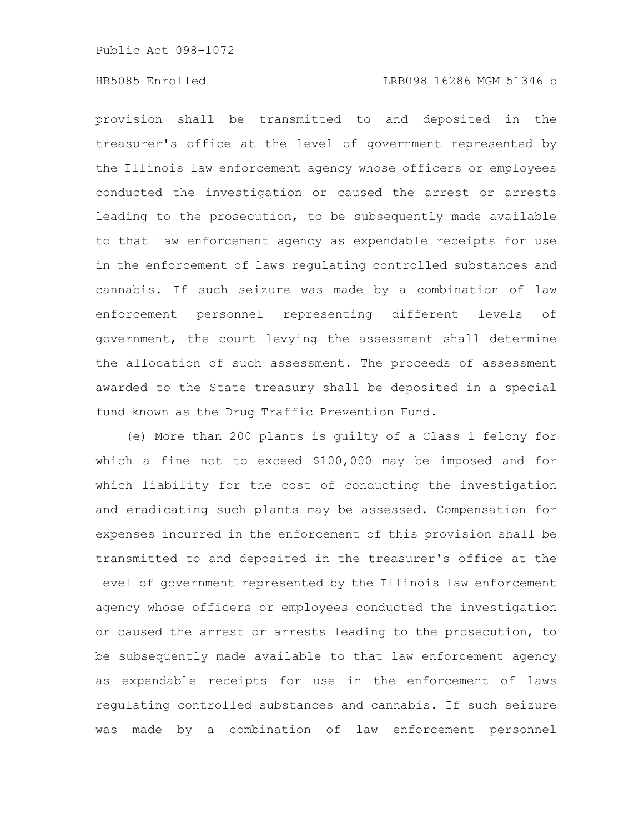## HB5085 Enrolled LRB098 16286 MGM 51346 b

provision shall be transmitted to and deposited in the treasurer's office at the level of government represented by the Illinois law enforcement agency whose officers or employees conducted the investigation or caused the arrest or arrests leading to the prosecution, to be subsequently made available to that law enforcement agency as expendable receipts for use in the enforcement of laws regulating controlled substances and cannabis. If such seizure was made by a combination of law enforcement personnel representing different levels of government, the court levying the assessment shall determine the allocation of such assessment. The proceeds of assessment awarded to the State treasury shall be deposited in a special fund known as the Drug Traffic Prevention Fund.

(e) More than 200 plants is guilty of a Class 1 felony for which a fine not to exceed \$100,000 may be imposed and for which liability for the cost of conducting the investigation and eradicating such plants may be assessed. Compensation for expenses incurred in the enforcement of this provision shall be transmitted to and deposited in the treasurer's office at the level of government represented by the Illinois law enforcement agency whose officers or employees conducted the investigation or caused the arrest or arrests leading to the prosecution, to be subsequently made available to that law enforcement agency as expendable receipts for use in the enforcement of laws regulating controlled substances and cannabis. If such seizure was made by a combination of law enforcement personnel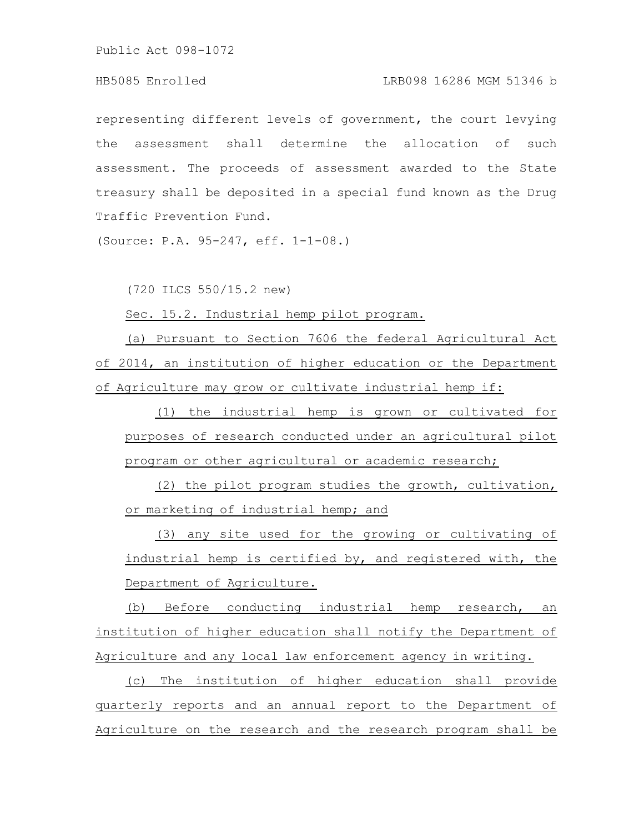## HB5085 Enrolled LRB098 16286 MGM 51346 b

representing different levels of government, the court levying the assessment shall determine the allocation of such assessment. The proceeds of assessment awarded to the State treasury shall be deposited in a special fund known as the Drug Traffic Prevention Fund.

(Source: P.A. 95-247, eff. 1-1-08.)

(720 ILCS 550/15.2 new)

Sec. 15.2. Industrial hemp pilot program.

(a) Pursuant to Section 7606 the federal Agricultural Act of 2014, an institution of higher education or the Department of Agriculture may grow or cultivate industrial hemp if:

(1) the industrial hemp is grown or cultivated for purposes of research conducted under an agricultural pilot program or other agricultural or academic research;

(2) the pilot program studies the growth, cultivation, or marketing of industrial hemp; and

(3) any site used for the growing or cultivating of industrial hemp is certified by, and registered with, the Department of Agriculture.

(b) Before conducting industrial hemp research, an institution of higher education shall notify the Department of Agriculture and any local law enforcement agency in writing.

(c) The institution of higher education shall provide quarterly reports and an annual report to the Department of Agriculture on the research and the research program shall be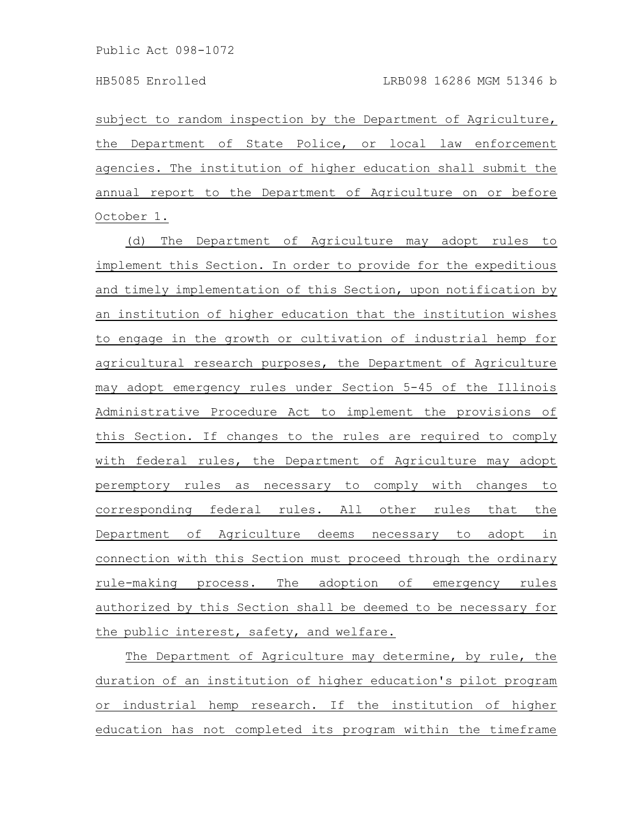subject to random inspection by the Department of Agriculture, the Department of State Police, or local law enforcement agencies. The institution of higher education shall submit the annual report to the Department of Agriculture on or before October 1.

(d) The Department of Agriculture may adopt rules to implement this Section. In order to provide for the expeditious and timely implementation of this Section, upon notification by an institution of higher education that the institution wishes to engage in the growth or cultivation of industrial hemp for agricultural research purposes, the Department of Agriculture may adopt emergency rules under Section 5-45 of the Illinois Administrative Procedure Act to implement the provisions of this Section. If changes to the rules are required to comply with federal rules, the Department of Agriculture may adopt peremptory rules as necessary to comply with changes to corresponding federal rules. All other rules that the Department of Agriculture deems necessary to adopt in connection with this Section must proceed through the ordinary rule-making process. The adoption of emergency rules authorized by this Section shall be deemed to be necessary for the public interest, safety, and welfare.

The Department of Agriculture may determine, by rule, the duration of an institution of higher education's pilot program or industrial hemp research. If the institution of higher education has not completed its program within the timeframe